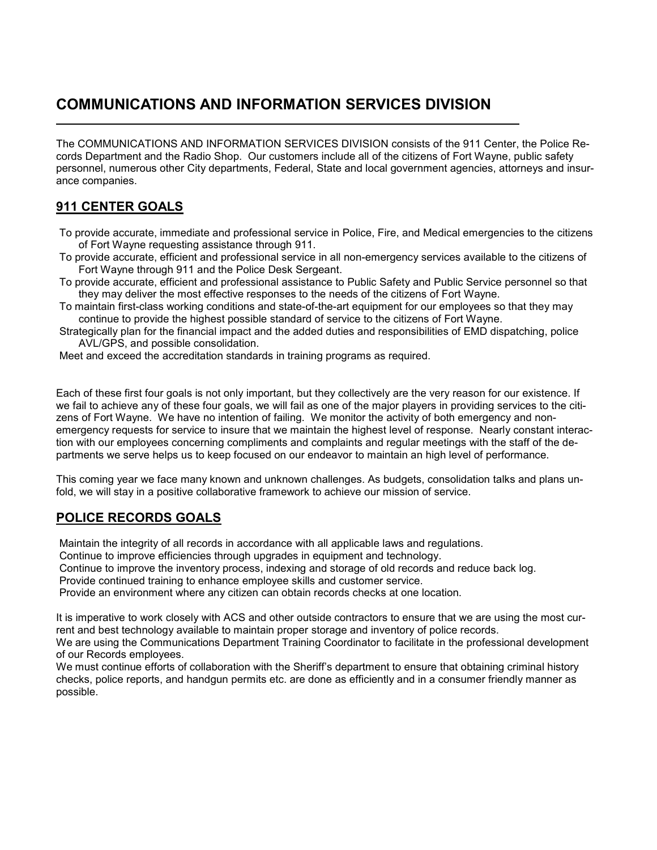# **COMMUNICATIONS AND INFORMATION SERVICES DIVISION**

The COMMUNICATIONS AND INFORMATION SERVICES DIVISION consists of the 911 Center, the Police Records Department and the Radio Shop. Our customers include all of the citizens of Fort Wayne, public safety personnel, numerous other City departments, Federal, State and local government agencies, attorneys and insurance companies.

## **911 CENTER GOALS**

- To provide accurate, immediate and professional service in Police, Fire, and Medical emergencies to the citizens of Fort Wayne requesting assistance through 911.
- To provide accurate, efficient and professional service in all non-emergency services available to the citizens of Fort Wayne through 911 and the Police Desk Sergeant.
- To provide accurate, efficient and professional assistance to Public Safety and Public Service personnel so that they may deliver the most effective responses to the needs of the citizens of Fort Wayne.
- To maintain first-class working conditions and state-of-the-art equipment for our employees so that they may continue to provide the highest possible standard of service to the citizens of Fort Wayne.
- Strategically plan for the financial impact and the added duties and responsibilities of EMD dispatching, police AVL/GPS, and possible consolidation.
- Meet and exceed the accreditation standards in training programs as required.

Each of these first four goals is not only important, but they collectively are the very reason for our existence. If we fail to achieve any of these four goals, we will fail as one of the major players in providing services to the citizens of Fort Wayne. We have no intention of failing. We monitor the activity of both emergency and nonemergency requests for service to insure that we maintain the highest level of response. Nearly constant interaction with our employees concerning compliments and complaints and regular meetings with the staff of the departments we serve helps us to keep focused on our endeavor to maintain an high level of performance.

This coming year we face many known and unknown challenges. As budgets, consolidation talks and plans unfold, we will stay in a positive collaborative framework to achieve our mission of service.

### **POLICE RECORDS GOALS**

Maintain the integrity of all records in accordance with all applicable laws and regulations.

Continue to improve efficiencies through upgrades in equipment and technology.

Continue to improve the inventory process, indexing and storage of old records and reduce back log.

Provide continued training to enhance employee skills and customer service.

Provide an environment where any citizen can obtain records checks at one location.

It is imperative to work closely with ACS and other outside contractors to ensure that we are using the most current and best technology available to maintain proper storage and inventory of police records.

We are using the Communications Department Training Coordinator to facilitate in the professional development of our Records employees.

We must continue efforts of collaboration with the Sheriff's department to ensure that obtaining criminal history checks, police reports, and handgun permits etc. are done as efficiently and in a consumer friendly manner as possible.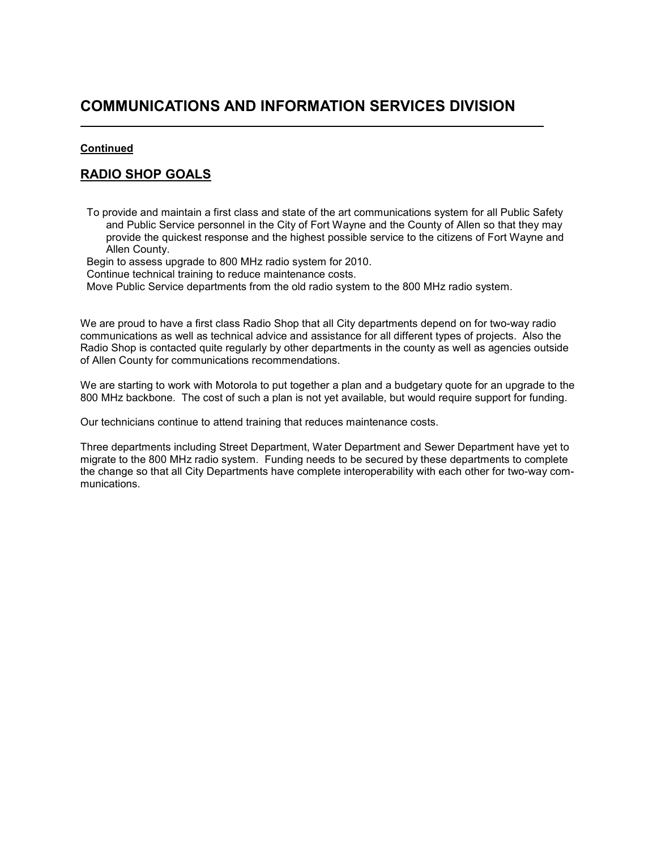# **COMMUNICATIONS AND INFORMATION SERVICES DIVISION**

#### **Continued**

L

#### **RADIO SHOP GOALS**

To provide and maintain a first class and state of the art communications system for all Public Safety and Public Service personnel in the City of Fort Wayne and the County of Allen so that they may provide the quickest response and the highest possible service to the citizens of Fort Wayne and Allen County.

Begin to assess upgrade to 800 MHz radio system for 2010.

Continue technical training to reduce maintenance costs.

Move Public Service departments from the old radio system to the 800 MHz radio system.

We are proud to have a first class Radio Shop that all City departments depend on for two-way radio communications as well as technical advice and assistance for all different types of projects. Also the Radio Shop is contacted quite regularly by other departments in the county as well as agencies outside of Allen County for communications recommendations.

We are starting to work with Motorola to put together a plan and a budgetary quote for an upgrade to the 800 MHz backbone. The cost of such a plan is not yet available, but would require support for funding.

Our technicians continue to attend training that reduces maintenance costs.

Three departments including Street Department, Water Department and Sewer Department have yet to migrate to the 800 MHz radio system. Funding needs to be secured by these departments to complete the change so that all City Departments have complete interoperability with each other for two-way communications.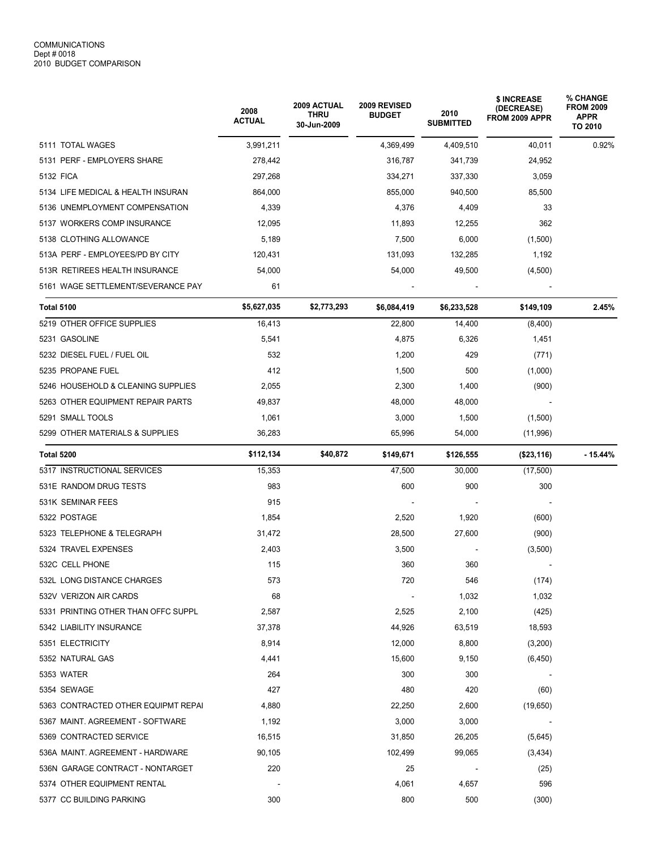|                                     | 2008<br><b>ACTUAL</b> | <b>2009 ACTUAL</b><br><b>THRU</b><br>30-Jun-2009 | 2009 REVISED<br><b>BUDGET</b> | 2010<br><b>SUBMITTED</b> | \$ INCREASE<br>(DECREASE)<br>FROM 2009 APPR | % CHANGE<br><b>FROM 2009</b><br><b>APPR</b><br>TO 2010 |
|-------------------------------------|-----------------------|--------------------------------------------------|-------------------------------|--------------------------|---------------------------------------------|--------------------------------------------------------|
| 5111 TOTAL WAGES                    | 3,991,211             |                                                  | 4,369,499                     | 4,409,510                | 40.011                                      | 0.92%                                                  |
| 5131 PERF - EMPLOYERS SHARE         | 278,442               |                                                  | 316,787                       | 341,739                  | 24,952                                      |                                                        |
| 5132 FICA                           | 297,268               |                                                  | 334,271                       | 337,330                  | 3,059                                       |                                                        |
| 5134 LIFE MEDICAL & HEALTH INSURAN  | 864,000               |                                                  | 855,000                       | 940,500                  | 85,500                                      |                                                        |
| 5136 UNEMPLOYMENT COMPENSATION      | 4,339                 |                                                  | 4,376                         | 4,409                    | 33                                          |                                                        |
| 5137 WORKERS COMP INSURANCE         | 12,095                |                                                  | 11,893                        | 12,255                   | 362                                         |                                                        |
| 5138 CLOTHING ALLOWANCE             | 5,189                 |                                                  | 7,500                         | 6,000                    | (1,500)                                     |                                                        |
| 513A PERF - EMPLOYEES/PD BY CITY    | 120,431               |                                                  | 131,093                       | 132,285                  | 1,192                                       |                                                        |
| 513R RETIREES HEALTH INSURANCE      | 54,000                |                                                  | 54,000                        | 49,500                   | (4,500)                                     |                                                        |
| 5161 WAGE SETTLEMENT/SEVERANCE PAY  | 61                    |                                                  |                               |                          |                                             |                                                        |
| <b>Total 5100</b>                   | \$5,627,035           | \$2,773,293                                      | \$6,084,419                   | \$6,233,528              | \$149,109                                   | 2.45%                                                  |
| 5219 OTHER OFFICE SUPPLIES          | 16,413                |                                                  | 22,800                        | 14,400                   | (8,400)                                     |                                                        |
| 5231 GASOLINE                       | 5,541                 |                                                  | 4,875                         | 6,326                    | 1,451                                       |                                                        |
| 5232 DIESEL FUEL / FUEL OIL         | 532                   |                                                  | 1,200                         | 429                      | (771)                                       |                                                        |
| 5235 PROPANE FUEL                   | 412                   |                                                  | 1,500                         | 500                      | (1,000)                                     |                                                        |
| 5246 HOUSEHOLD & CLEANING SUPPLIES  | 2,055                 |                                                  | 2,300                         | 1,400                    | (900)                                       |                                                        |
| 5263 OTHER EQUIPMENT REPAIR PARTS   | 49,837                |                                                  | 48,000                        | 48,000                   |                                             |                                                        |
| 5291 SMALL TOOLS                    | 1,061                 |                                                  | 3,000                         | 1,500                    | (1,500)                                     |                                                        |
| 5299 OTHER MATERIALS & SUPPLIES     | 36,283                |                                                  | 65,996                        | 54,000                   | (11,996)                                    |                                                        |
| Total 5200                          | \$112,134             | \$40,872                                         | \$149,671                     | \$126,555                | (\$23,116)                                  | $-15.44%$                                              |
| 5317 INSTRUCTIONAL SERVICES         | 15,353                |                                                  | 47,500                        | 30,000                   | (17,500)                                    |                                                        |
| 531E RANDOM DRUG TESTS              | 983                   |                                                  | 600                           | 900                      | 300                                         |                                                        |
| 531K SEMINAR FEES                   | 915                   |                                                  |                               |                          |                                             |                                                        |
| 5322 POSTAGE                        | 1,854                 |                                                  | 2,520                         | 1,920                    | (600)                                       |                                                        |
| 5323 TELEPHONE & TELEGRAPH          | 31,472                |                                                  | 28,500                        | 27,600                   | (900)                                       |                                                        |
| 5324 TRAVEL EXPENSES                | 2,403                 |                                                  | 3,500                         |                          | (3,500)                                     |                                                        |
| 532C CELL PHONE                     | 115                   |                                                  | 360                           | 360                      |                                             |                                                        |
| 532L LONG DISTANCE CHARGES          | 573                   |                                                  | 720                           | 546                      | (174)                                       |                                                        |
| 532V VERIZON AIR CARDS              | 68                    |                                                  |                               | 1,032                    | 1,032                                       |                                                        |
| 5331 PRINTING OTHER THAN OFFC SUPPL | 2,587                 |                                                  | 2,525                         | 2,100                    | (425)                                       |                                                        |
| 5342 LIABILITY INSURANCE            | 37,378                |                                                  | 44,926                        | 63,519                   | 18,593                                      |                                                        |
| 5351 ELECTRICITY                    | 8,914                 |                                                  | 12,000                        | 8,800                    | (3,200)                                     |                                                        |
| 5352 NATURAL GAS                    | 4,441                 |                                                  | 15,600                        | 9,150                    | (6, 450)                                    |                                                        |
| 5353 WATER                          | 264                   |                                                  | 300                           | 300                      |                                             |                                                        |
| 5354 SEWAGE                         | 427                   |                                                  | 480                           | 420                      | (60)                                        |                                                        |
| 5363 CONTRACTED OTHER EQUIPMT REPAI | 4,880                 |                                                  | 22,250                        | 2,600                    | (19,650)                                    |                                                        |
| 5367 MAINT. AGREEMENT - SOFTWARE    | 1,192                 |                                                  | 3,000                         | 3,000                    |                                             |                                                        |
| 5369 CONTRACTED SERVICE             | 16,515                |                                                  | 31,850                        | 26,205                   | (5,645)                                     |                                                        |
| 536A MAINT. AGREEMENT - HARDWARE    | 90,105                |                                                  | 102,499                       | 99,065                   | (3, 434)                                    |                                                        |
| 536N GARAGE CONTRACT - NONTARGET    | 220                   |                                                  | 25                            |                          | (25)                                        |                                                        |
| 5374 OTHER EQUIPMENT RENTAL         |                       |                                                  | 4,061                         | 4,657                    | 596                                         |                                                        |
| 5377 CC BUILDING PARKING            | 300                   |                                                  | 800                           | 500                      | (300)                                       |                                                        |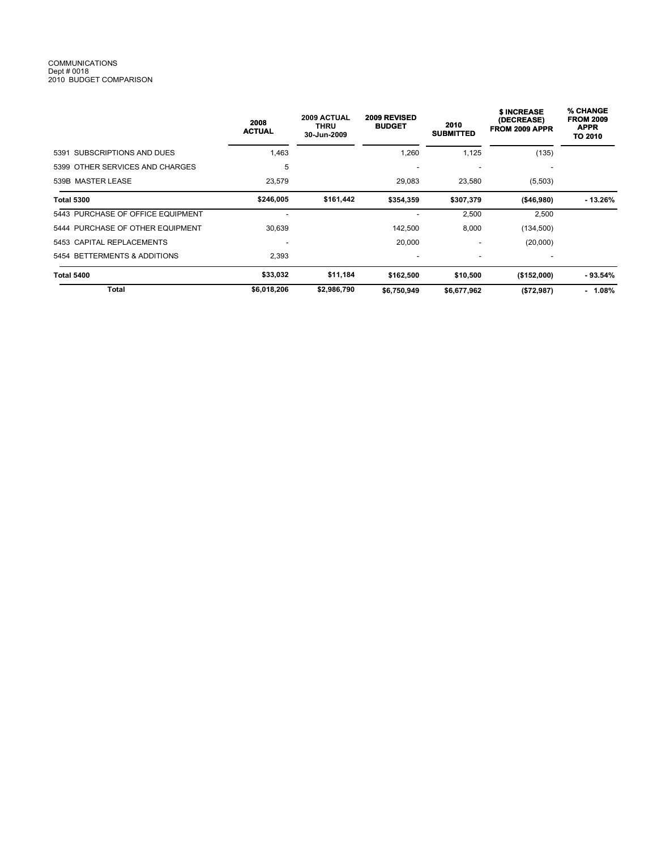# COMMUNICATIONS Dept # 0018 2010 BUDGET COMPARISON

|                                   | 2008<br><b>ACTUAL</b> | 2009 ACTUAL<br><b>THRU</b><br>30-Jun-2009 | 2009 REVISED<br><b>BUDGET</b> | 2010<br><b>SUBMITTED</b> | <b>SINCREASE</b><br>(DECREASE)<br>FROM 2009 APPR | % CHANGE<br><b>FROM 2009</b><br><b>APPR</b><br>TO 2010 |
|-----------------------------------|-----------------------|-------------------------------------------|-------------------------------|--------------------------|--------------------------------------------------|--------------------------------------------------------|
| 5391 SUBSCRIPTIONS AND DUES       | 1,463                 |                                           | 1,260                         | 1,125                    | (135)                                            |                                                        |
| 5399 OTHER SERVICES AND CHARGES   | 5                     |                                           |                               |                          |                                                  |                                                        |
| 539B MASTER LEASE                 | 23,579                |                                           | 29,083                        | 23,580                   | (5,503)                                          |                                                        |
| <b>Total 5300</b>                 | \$246,005             | \$161,442                                 | \$354,359                     | \$307,379                | ( \$46, 980)                                     | - 13.26%                                               |
| 5443 PURCHASE OF OFFICE EQUIPMENT |                       |                                           |                               | 2,500                    | 2,500                                            |                                                        |
| 5444 PURCHASE OF OTHER EQUIPMENT  | 30,639                |                                           | 142,500                       | 8,000                    | (134, 500)                                       |                                                        |
| 5453 CAPITAL REPLACEMENTS         |                       |                                           | 20,000                        | -                        | (20,000)                                         |                                                        |
| 5454 BETTERMENTS & ADDITIONS      | 2,393                 |                                           | $\overline{\phantom{a}}$      | $\overline{\phantom{a}}$ |                                                  |                                                        |
| Total 5400                        | \$33,032              | \$11,184                                  | \$162,500                     | \$10,500                 | (\$152,000)                                      | $-93.54\%$                                             |
| Total                             | \$6,018,206           | \$2,986,790                               | \$6,750,949                   | \$6,677,962              | (\$72,987)                                       | $-1.08%$                                               |